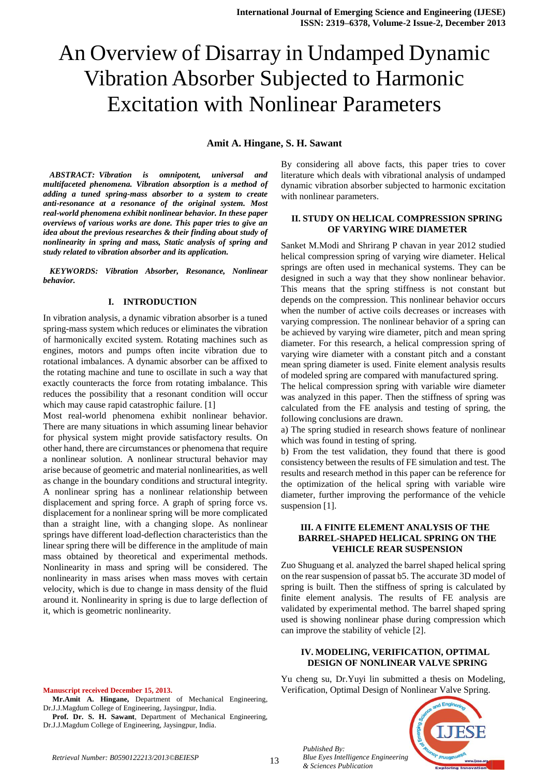# An Overview of Disarray in Undamped Dynamic Vibration Absorber Subjected to Harmonic Excitation with Nonlinear Parameters

**Amit A. Hingane, S. H. Sawant**

*ABSTRACT: Vibration is omnipotent, universal and multifaceted phenomena. Vibration absorption is a method of adding a tuned spring-mass absorber to a system to create anti-resonance at a resonance of the original system. Most real-world phenomena exhibit nonlinear behavior. In these paper overviews of various works are done. This paper tries to give an idea about the previous researches & their finding about study of nonlinearity in spring and mass, Static analysis of spring and study related to vibration absorber and its application.*

*KEYWORDS: Vibration Absorber, Resonance, Nonlinear behavior.*

#### **I. INTRODUCTION**

In vibration analysis, a dynamic vibration absorber is a tuned spring-mass system which reduces or eliminates the vibration of harmonically excited system. Rotating machines such as engines, motors and pumps often incite vibration due to rotational imbalances. A dynamic absorber can be affixed to the rotating machine and tune to oscillate in such a way that exactly counteracts the force from rotating imbalance. This reduces the possibility that a resonant condition will occur which may cause rapid catastrophic failure. [1]

Most real-world phenomena exhibit nonlinear behavior. There are many situations in which assuming linear behavior for physical system might provide satisfactory results. On other hand, there are circumstances or phenomena that require a nonlinear solution. A nonlinear structural behavior may arise because of geometric and material nonlinearities, as well as change in the boundary conditions and structural integrity. A nonlinear spring has a nonlinear relationship between displacement and spring force. A graph of spring force vs. displacement for a nonlinear spring will be more complicated than a straight line, with a changing slope. As nonlinear springs have different load-deflection characteristics than the linear spring there will be difference in the amplitude of main mass obtained by theoretical and experimental methods. Nonlinearity in mass and spring will be considered. The nonlinearity in mass arises when mass moves with certain velocity, which is due to change in mass density of the fluid around it. Nonlinearity in spring is due to large deflection of it, which is geometric nonlinearity.

By considering all above facts, this paper tries to cover literature which deals with vibrational analysis of undamped dynamic vibration absorber subjected to harmonic excitation with nonlinear parameters.

## **II. STUDY ON HELICAL COMPRESSION SPRING OF VARYING WIRE DIAMETER**

Sanket M.Modi and Shrirang P chavan in year 2012 studied helical compression spring of varying wire diameter. Helical springs are often used in mechanical systems. They can be designed in such a way that they show nonlinear behavior. This means that the spring stiffness is not constant but depends on the compression. This nonlinear behavior occurs when the number of active coils decreases or increases with varying compression. The nonlinear behavior of a spring can be achieved by varying wire diameter, pitch and mean spring diameter. For this research, a helical compression spring of varying wire diameter with a constant pitch and a constant mean spring diameter is used. Finite element analysis results of modeled spring are compared with manufactured spring.

The helical compression spring with variable wire diameter was analyzed in this paper. Then the stiffness of spring was calculated from the FE analysis and testing of spring, the following conclusions are drawn.

a) The spring studied in research shows feature of nonlinear which was found in testing of spring.

b) From the test validation, they found that there is good consistency between the results of FE simulation and test. The results and research method in this paper can be reference for the optimization of the helical spring with variable wire diameter, further improving the performance of the vehicle suspension [1].

## **III. A FINITE ELEMENT ANALYSIS OF THE BARREL-SHAPED HELICAL SPRING ON THE VEHICLE REAR SUSPENSION**

Zuo Shuguang et al. analyzed the barrel shaped helical spring on the rear suspension of passat b5. The accurate 3D model of spring is built. Then the stiffness of spring is calculated by finite element analysis. The results of FE analysis are validated by experimental method. The barrel shaped spring used is showing nonlinear phase during compression which can improve the stability of vehicle [2].

## **IV. MODELING, VERIFICATION, OPTIMAL DESIGN OF NONLINEAR VALVE SPRING**

Yu cheng su, Dr.Yuyi lin submitted a thesis on Modeling, Verification, Optimal Design of Nonlinear Valve Spring.



#### **Manuscript received December 15, 2013.**

- **Mr.Amit A. Hingane,** Department of Mechanical Engineering, Dr.J.J.Magdum College of Engineering, Jaysingpur, India.
- **Prof. Dr. S. H. Sawant**, Department of Mechanical Engineering, Dr.J.J.Magdum College of Engineering, Jaysingpur, India.

*Published By:*

*& Sciences Publication*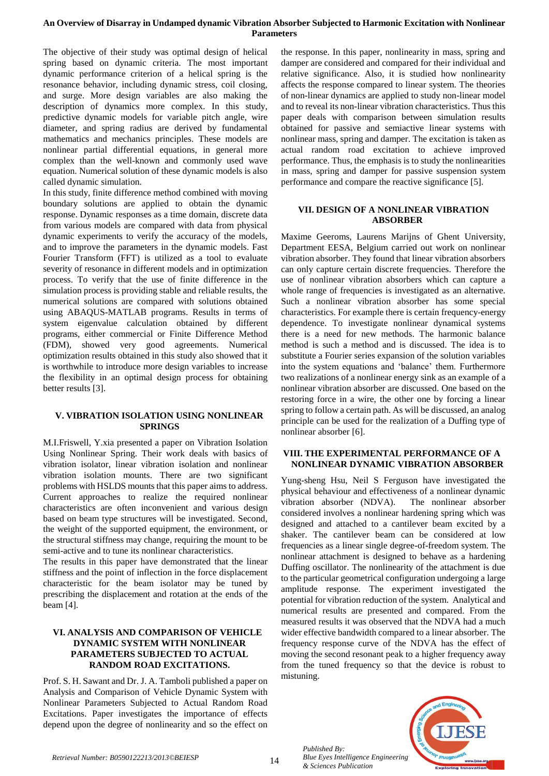## **An Overview of Disarray in Undamped dynamic Vibration Absorber Subjected to Harmonic Excitation with Nonlinear Parameters**

The objective of their study was optimal design of helical spring based on dynamic criteria. The most important dynamic performance criterion of a helical spring is the resonance behavior, including dynamic stress, coil closing, and surge. More design variables are also making the description of dynamics more complex. In this study, predictive dynamic models for variable pitch angle, wire diameter, and spring radius are derived by fundamental mathematics and mechanics principles. These models are nonlinear partial differential equations, in general more complex than the well-known and commonly used wave equation. Numerical solution of these dynamic models is also called dynamic simulation.

In this study, finite difference method combined with moving boundary solutions are applied to obtain the dynamic response. Dynamic responses as a time domain, discrete data from various models are compared with data from physical dynamic experiments to verify the accuracy of the models, and to improve the parameters in the dynamic models. Fast Fourier Transform (FFT) is utilized as a tool to evaluate severity of resonance in different models and in optimization process. To verify that the use of finite difference in the simulation process is providing stable and reliable results, the numerical solutions are compared with solutions obtained using ABAQUS-MATLAB programs. Results in terms of system eigenvalue calculation obtained by different programs, either commercial or Finite Difference Method (FDM), showed very good agreements. Numerical optimization results obtained in this study also showed that it is worthwhile to introduce more design variables to increase the flexibility in an optimal design process for obtaining better results [3].

## **V. VIBRATION ISOLATION USING NONLINEAR SPRINGS**

M.I.Friswell, Y.xia presented a paper on Vibration Isolation Using Nonlinear Spring. Their work deals with basics of vibration isolator, linear vibration isolation and nonlinear vibration isolation mounts. There are two significant problems with HSLDS mounts that this paper aims to address. Current approaches to realize the required nonlinear characteristics are often inconvenient and various design based on beam type structures will be investigated. Second, the weight of the supported equipment, the environment, or the structural stiffness may change, requiring the mount to be semi-active and to tune its nonlinear characteristics.

The results in this paper have demonstrated that the linear stiffness and the point of inflection in the force displacement characteristic for the beam isolator may be tuned by prescribing the displacement and rotation at the ends of the beam [4].

# **VI. ANALYSIS AND COMPARISON OF VEHICLE DYNAMIC SYSTEM WITH NONLINEAR PARAMETERS SUBJECTED TO ACTUAL RANDOM ROAD EXCITATIONS.**

Prof. S. H. Sawant and Dr. J. A. Tamboli published a paper on Analysis and Comparison of Vehicle Dynamic System with Nonlinear Parameters Subjected to Actual Random Road Excitations. Paper investigates the importance of effects depend upon the degree of nonlinearity and so the effect on

the response. In this paper, nonlinearity in mass, spring and damper are considered and compared for their individual and relative significance. Also, it is studied how nonlinearity affects the response compared to linear system. The theories of non-linear dynamics are applied to study non-linear model and to reveal its non-linear vibration characteristics. Thus this paper deals with comparison between simulation results obtained for passive and semiactive linear systems with nonlinear mass, spring and damper. The excitation is taken as actual random road excitation to achieve improved performance. Thus, the emphasis is to study the nonlinearities in mass, spring and damper for passive suspension system performance and compare the reactive significance [5].

# **VII. DESIGN OF A NONLINEAR VIBRATION ABSORBER**

Maxime Geeroms, Laurens Marijns of Ghent University, Department EESA, Belgium carried out work on nonlinear vibration absorber. They found that linear vibration absorbers can only capture certain discrete frequencies. Therefore the use of nonlinear vibration absorbers which can capture a whole range of frequencies is investigated as an alternative. Such a nonlinear vibration absorber has some special characteristics. For example there is certain frequency-energy dependence. To investigate nonlinear dynamical systems there is a need for new methods. The harmonic balance method is such a method and is discussed. The idea is to substitute a Fourier series expansion of the solution variables into the system equations and 'balance' them. Furthermore two realizations of a nonlinear energy sink as an example of a nonlinear vibration absorber are discussed. One based on the restoring force in a wire, the other one by forcing a linear spring to follow a certain path. As will be discussed, an analog principle can be used for the realization of a Duffing type of nonlinear absorber [6].

## **VIII. THE EXPERIMENTAL PERFORMANCE OF A NONLINEAR DYNAMIC VIBRATION ABSORBER**

Yung-sheng Hsu, Neil S Ferguson have investigated the physical behaviour and effectiveness of a nonlinear dynamic vibration absorber (NDVA). The nonlinear absorber considered involves a nonlinear hardening spring which was designed and attached to a cantilever beam excited by a shaker. The cantilever beam can be considered at low frequencies as a linear single degree-of-freedom system. The nonlinear attachment is designed to behave as a hardening Duffing oscillator. The nonlinearity of the attachment is due to the particular geometrical configuration undergoing a large amplitude response. The experiment investigated the potential for vibration reduction of the system. Analytical and numerical results are presented and compared. From the measured results it was observed that the NDVA had a much wider effective bandwidth compared to a linear absorber. The frequency response curve of the NDVA has the effect of moving the second resonant peak to a higher frequency away from the tuned frequency so that the device is robust to mistuning.



*Blue Eyes Intelligence Engineering & Sciences Publication* 

*Published By:*